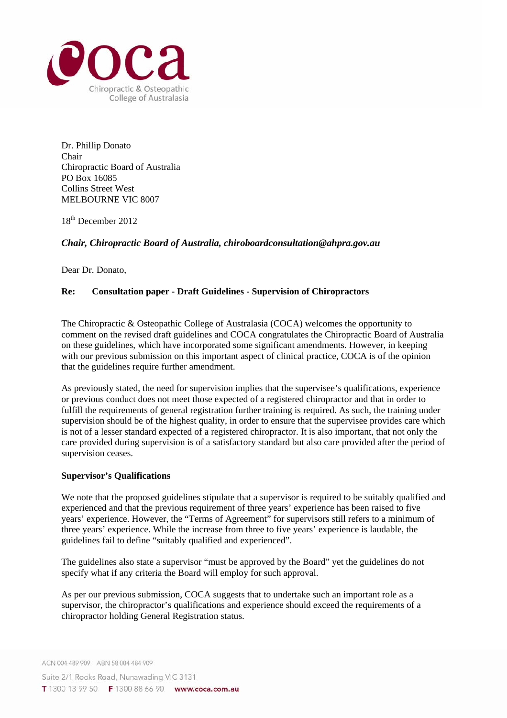

Dr. Phillip Donato Chair Chiropractic Board of Australia PO Box 16085 Collins Street West MELBOURNE VIC 8007

18th December 2012

# *Chair, Chiropractic Board of Australia, chiroboardconsultation@ahpra.gov.au*

Dear Dr. Donato,

## **Re: Consultation paper - Draft Guidelines - Supervision of Chiropractors**

The Chiropractic & Osteopathic College of Australasia (COCA) welcomes the opportunity to comment on the revised draft guidelines and COCA congratulates the Chiropractic Board of Australia on these guidelines, which have incorporated some significant amendments. However, in keeping with our previous submission on this important aspect of clinical practice, COCA is of the opinion that the guidelines require further amendment.

As previously stated, the need for supervision implies that the supervisee's qualifications, experience or previous conduct does not meet those expected of a registered chiropractor and that in order to fulfill the requirements of general registration further training is required. As such, the training under supervision should be of the highest quality, in order to ensure that the supervisee provides care which is not of a lesser standard expected of a registered chiropractor. It is also important, that not only the care provided during supervision is of a satisfactory standard but also care provided after the period of supervision ceases.

## **Supervisor's Qualifications**

We note that the proposed guidelines stipulate that a supervisor is required to be suitably qualified and experienced and that the previous requirement of three years' experience has been raised to five years' experience. However, the "Terms of Agreement" for supervisors still refers to a minimum of three years' experience. While the increase from three to five years' experience is laudable, the guidelines fail to define "suitably qualified and experienced".

The guidelines also state a supervisor "must be approved by the Board" yet the guidelines do not specify what if any criteria the Board will employ for such approval.

As per our previous submission, COCA suggests that to undertake such an important role as a supervisor, the chiropractor's qualifications and experience should exceed the requirements of a chiropractor holding General Registration status.

Suite 2/1 Rooks Road, Nunawading VIC 3131